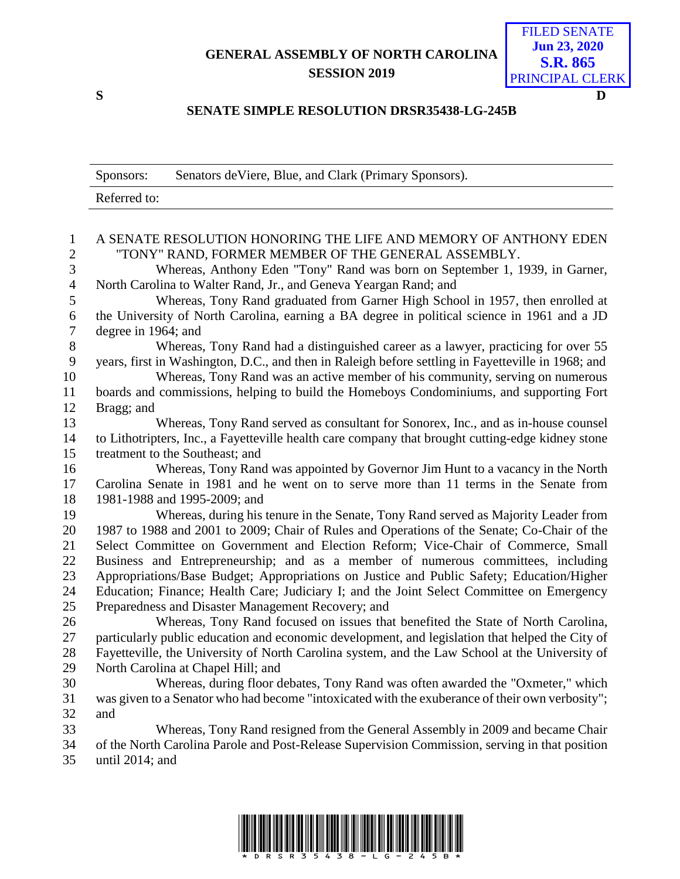## **GENERAL ASSEMBLY OF NORTH CAROLINA SESSION 2019**

FILED SENATE **Jun 23, 2020 S.R. 865** PRINCIPAL CLERK

## **SENATE SIMPLE RESOLUTION DRSR35438-LG-245B**

|                     | Senators de Viere, Blue, and Clark (Primary Sponsors).<br>Sponsors:                                                     |
|---------------------|-------------------------------------------------------------------------------------------------------------------------|
|                     | Referred to:                                                                                                            |
|                     |                                                                                                                         |
| 1<br>$\overline{2}$ | A SENATE RESOLUTION HONORING THE LIFE AND MEMORY OF ANTHONY EDEN<br>"TONY" RAND, FORMER MEMBER OF THE GENERAL ASSEMBLY. |
| 3                   | Whereas, Anthony Eden "Tony" Rand was born on September 1, 1939, in Garner,                                             |
| $\overline{4}$      | North Carolina to Walter Rand, Jr., and Geneva Yeargan Rand; and                                                        |
| $\mathfrak s$       | Whereas, Tony Rand graduated from Garner High School in 1957, then enrolled at                                          |
| 6                   | the University of North Carolina, earning a BA degree in political science in 1961 and a JD                             |
| $\tau$              | degree in 1964; and                                                                                                     |
| 8                   | Whereas, Tony Rand had a distinguished career as a lawyer, practicing for over 55                                       |
| 9                   | years, first in Washington, D.C., and then in Raleigh before settling in Fayetteville in 1968; and                      |
| 10                  | Whereas, Tony Rand was an active member of his community, serving on numerous                                           |
| 11                  | boards and commissions, helping to build the Homeboys Condominiums, and supporting Fort                                 |
| 12                  | Bragg; and                                                                                                              |
| 13                  | Whereas, Tony Rand served as consultant for Sonorex, Inc., and as in-house counsel                                      |
| 14                  | to Lithotripters, Inc., a Fayetteville health care company that brought cutting-edge kidney stone                       |
| 15                  | treatment to the Southeast; and                                                                                         |
| 16                  | Whereas, Tony Rand was appointed by Governor Jim Hunt to a vacancy in the North                                         |
| 17                  | Carolina Senate in 1981 and he went on to serve more than 11 terms in the Senate from                                   |
| 18                  | 1981-1988 and 1995-2009; and                                                                                            |
| 19                  | Whereas, during his tenure in the Senate, Tony Rand served as Majority Leader from                                      |
| 20                  | 1987 to 1988 and 2001 to 2009; Chair of Rules and Operations of the Senate; Co-Chair of the                             |
| 21                  | Select Committee on Government and Election Reform; Vice-Chair of Commerce, Small                                       |
| 22                  | Business and Entrepreneurship; and as a member of numerous committees, including                                        |
| 23                  | Appropriations/Base Budget; Appropriations on Justice and Public Safety; Education/Higher                               |
| 24                  | Education; Finance; Health Care; Judiciary I; and the Joint Select Committee on Emergency                               |
| 25                  | Preparedness and Disaster Management Recovery; and                                                                      |
| 26                  | Whereas, Tony Rand focused on issues that benefited the State of North Carolina,                                        |
| 27                  | particularly public education and economic development, and legislation that helped the City of                         |
| 28                  | Fayetteville, the University of North Carolina system, and the Law School at the University of                          |
| 29                  | North Carolina at Chapel Hill; and                                                                                      |
| 30                  | Whereas, during floor debates, Tony Rand was often awarded the "Oxmeter," which                                         |
| 31                  | was given to a Senator who had become "intoxicated with the exuberance of their own verbosity";                         |
| 32                  | and                                                                                                                     |
| 33                  | Whereas, Tony Rand resigned from the General Assembly in 2009 and became Chair                                          |
| 34                  | of the North Carolina Parole and Post-Release Supervision Commission, serving in that position                          |
| 35                  | until $2014$ ; and                                                                                                      |
|                     |                                                                                                                         |



**S D**